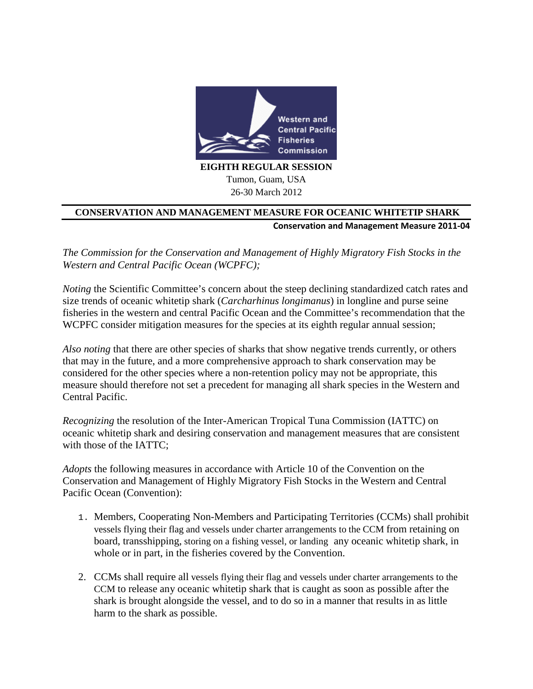

26-30 March 2012

## **CONSERVATION AND MANAGEMENT MEASURE FOR OCEANIC WHITETIP SHARK**

**Conservation and Management Measure 2011-04**

*The Commission for the Conservation and Management of Highly Migratory Fish Stocks in the Western and Central Pacific Ocean (WCPFC);*

*Noting* the Scientific Committee's concern about the steep declining standardized catch rates and size trends of oceanic whitetip shark (*Carcharhinus longimanus*) in longline and purse seine fisheries in the western and central Pacific Ocean and the Committee's recommendation that the WCPFC consider mitigation measures for the species at its eighth regular annual session;

*Also noting* that there are other species of sharks that show negative trends currently, or others that may in the future, and a more comprehensive approach to shark conservation may be considered for the other species where a non-retention policy may not be appropriate, this measure should therefore not set a precedent for managing all shark species in the Western and Central Pacific.

*Recognizing* the resolution of the Inter-American Tropical Tuna Commission (IATTC) on oceanic whitetip shark and desiring conservation and management measures that are consistent with those of the IATTC;

*Adopts* the following measures in accordance with Article 10 of the Convention on the Conservation and Management of Highly Migratory Fish Stocks in the Western and Central Pacific Ocean (Convention):

- 1. Members, Cooperating Non-Members and Participating Territories (CCMs) shall prohibit vessels flying their flag and vessels under charter arrangements to the CCM from retaining on board, transshipping, storing on a fishing vessel, or landing any oceanic whitetip shark, in whole or in part, in the fisheries covered by the Convention.
- 2. CCMs shall require all vessels flying their flag and vessels under charter arrangements to the CCM to release any oceanic whitetip shark that is caught as soon as possible after the shark is brought alongside the vessel, and to do so in a manner that results in as little harm to the shark as possible.